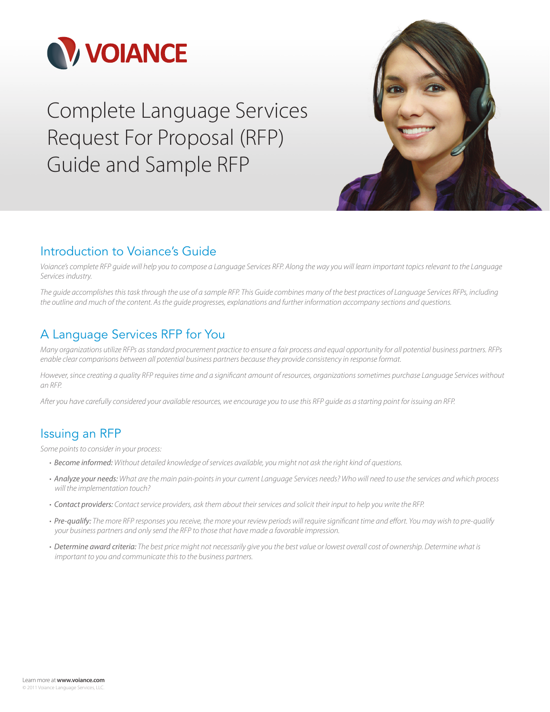

Complete Language Services Request For Proposal (RFP) Guide and Sample RFP



# Introduction to Voiance's Guide

Voiance's complete RFP guide will help you to compose a Language Services RFP. Along the way you will learn important topics relevant to the Language Services industry.

The guide accomplishes this task through the use of a sample RFP. This Guide combines many of the best practices of Language Services RFPs, including the outline and much of the content. As the guide progresses, explanations and further information accompany sections and questions.

# A Language Services RFP for You

Many organizations utilize RFPs as standard procurement practice to ensure a fair process and equal opportunity for all potential business partners. RFPs enable clear comparisons between all potential business partners because they provide consistency in response format.

However, since creating a quality RFP requires time and a significant amount of resources, organizations sometimes purchase Language Services without an RFP.

After you have carefully considered your available resources, we encourage you to use this RFP guide as a starting point for issuing an RFP.

# Issuing an RFP

Some points to consider in your process:

- Become informed: Without detailed knowledge of services available, you might not ask the right kind of questions.
- Analyze your needs: What are the main pain-points in your current Language Services needs? Who will need to use the services and which process will the implementation touch?
- Contact providers: Contact service providers, ask them about their services and solicit their input to help you write the RFP.
- Pre-qualify: The more RFP responses you receive, the more your review periods will require significant time and effort. You may wish to pre-qualify your business partners and only send the RFP to those that have made a favorable impression.
- Determine award criteria: The best price might not necessarily give you the best value or lowest overall cost of ownership. Determine what is important to you and communicate this to the business partners.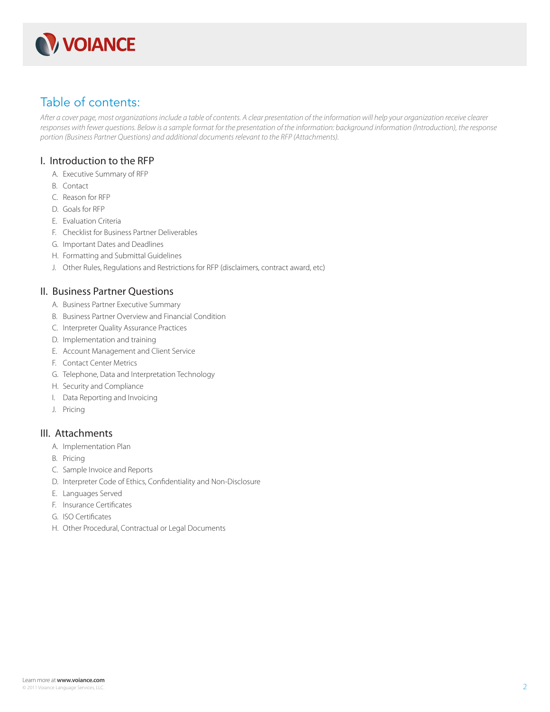

# Table of contents:

After a cover page, most organizations include a table of contents. A clear presentation of the information will help your organization receive clearer responses with fewer questions. Below is a sample format for the presentation of the information: background information (Introduction), the response portion (Business Partner Questions) and additional documents relevant to the RFP (Attachments).

### I. Introduction to the RFP

- A. Executive Summary of RFP
- B. Contact
- C. Reason for RFP
- D. Goals for RFP
- E. Evaluation Criteria
- F. Checklist for Business Partner Deliverables
- G. Important Dates and Deadlines
- H. Formatting and Submittal Guidelines
- J. Other Rules, Regulations and Restrictions for RFP (disclaimers, contract award, etc)

### II. Business Partner Questions

- A. Business Partner Executive Summary
- B. Business Partner Overview and Financial Condition
- C. Interpreter Quality Assurance Practices
- D. Implementation and training
- E. Account Management and Client Service
- F. Contact Center Metrics
- G. Telephone, Data and Interpretation Technology
- H. Security and Compliance
- I. Data Reporting and Invoicing
- J. Pricing

### III. Attachments

- A. Implementation Plan
- B. Pricing
- C. Sample Invoice and Reports
- D. Interpreter Code of Ethics, Confidentiality and Non-Disclosure
- E. Languages Served
- F. Insurance Certificates
- G. ISO Certificates
- H. Other Procedural, Contractual or Legal Documents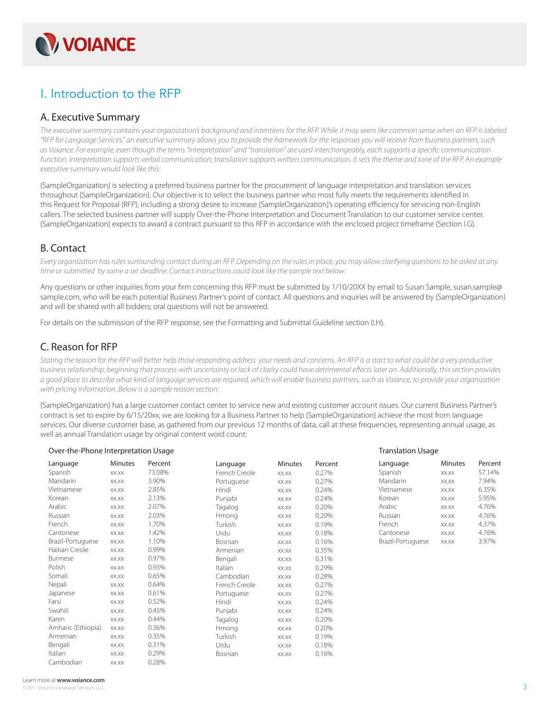

# I. Introduction to the RFP

### A. Executive Summary

The executive summary contains your organization's background and intentions for the RFP. While it may seem like common sense when an RFP is labeled "RFP for Language Services," an executive summary allows you to provide the framework for the responses you will receive from business partners, such as Voiance. For example, even though the terms "interpretation" and "translation" are used interchangeably, each supports a specific communication function. Interpretation supports verbal communication; translation supports written communication. It sets the theme and tone of the RFP. An example executive summary would look like this:

{SampleOrganization} is selecting a preferred business partner for the procurement of language interpretation and translation services throughout {SampleOrganization}. Our objective is to select the business partner who most fully meets the requirements identified in this Request for Proposal (RFP), including a strong desire to increase {SampleOrganization}'s operating efficiency for servicing non-English callers. The selected business partner will supply Over-the-Phone Interpretation and Document Translation to our customer service center. {SampleOrganization} expects to award a contract pursuant to this RFP in accordance with the enclosed project timeframe (Section I.G).

### B. Contact

Every organization has rules surrounding contact during an RFP. Depending on the rules in place, you may allow clarifying questions to be asked at any time or submitted by some a set deadline. Contact instructions could look like the sample text below:

Any questions or other inquiries from your firm concerning this RFP must be submitted by 1/10/20XX by email to Susan Sample, susan.sample@ sample.com, who will be each potential Business Partner's point of contact. All questions and inquiries will be answered by {SampleOrganization} and will be shared with all bidders; oral questions will not be answered.

For details on the submission of the RFP response, see the Formatting and Submittal Guideline section (I.H).

## C. Reason for RFP

Stating the reason for the RFP will better help those responding address your needs and concerns. An RFP is a start to what could be a very productive business relationship; beginning that process with uncertainty or lack of clarity could have detrimental effects later on. Additionally, this section provides a good place to describe what kind of language services are required, which will enable business partners, such as Voiance, to provide your organization with pricing information. Below is a sample reason section:

{SampleOrganization} has a large customer contact center to service new and existing customer account issues. Our current Business Partner's contract is set to expire by 6/15/20xx; we are looking for a Business Partner to help {SampleOrganization} achieve the most from language services. Our diverse customer base, as gathered from our previous 12 months of data, call at these frequencies, representing annual usage, as well as annual Translation usage by original content word count:

| Over-the-Phone Interpretation Usage |                    |         |         |               | <b>Translation Usage</b> |         |                   |                |         |
|-------------------------------------|--------------------|---------|---------|---------------|--------------------------|---------|-------------------|----------------|---------|
|                                     | Language           | Minutes | Percent | Language      | Minutes                  | Percent | Language          | <b>Minutes</b> | Percent |
|                                     | Spanish            | XX.XX   | 73.08%  | French Creole | XX.XX                    | 0.27%   | Spanish           | XX.XX          | 57.14%  |
|                                     | <b>Mandarin</b>    | XX.XX   | 3.90%   | Portuguese    | XX.XX                    | 0.27%   | <b>Mandarin</b>   | XX.XX          | 7.94%   |
|                                     | Vietnamese         | XX.XX   | 2.85%   | Hindi         | XX.XX                    | 0.24%   | Vietnamese        | XX.XX          | 6.35%   |
|                                     | Korean             | XX.XX   | 2.13%   | Punjabi       | XX.XX                    | 0.24%   | Korean            | XX.XX          | 5.95%   |
|                                     | Arabic             | XX.XX   | 2.07%   | Tagalog       | XX.XX                    | 0.20%   | Arabic            | XX.XX          | 4.76%   |
|                                     | Russian            | XX.XX   | 2.03%   | Hmong         | XX.XX                    | 0.20%   | Russian           | XX.XX          | 4.76%   |
|                                     | French             | XX.XX   | 1.70%   | Turkish       | XX.XX                    | 0.19%   | French            | XX.XX          | 4.37%   |
|                                     | Cantonese          | XX.XX   | 1.42%   | Urdu          | XX.XX                    | 0.18%   | Cantonese         | XX.XX          | 4.76%   |
|                                     | Brazil-Portuguese  | XX.XX   | 1.10%   | Bosnian       | XX.XX                    | 0.16%   | Brazil-Portuguese | XX.XX          | 3.97%   |
|                                     | Haitian Creole     | XX.XX   | 0.99%   | Armenian      | XX.XX                    | 0.35%   |                   |                |         |
|                                     | Burmese            | XX.XX   | 0.97%   | Bengali       | XX.XX                    | 0.31%   |                   |                |         |
|                                     | Polish             | XX.XX   | 0.93%   | Italian       | XX.XX                    | 0.29%   |                   |                |         |
|                                     | Somali             | XX.XX   | 0.65%   | Cambodian     | XX.XX                    | 0.28%   |                   |                |         |
|                                     | Nepali             | XX.XX   | 0.64%   | French Creole | XX.XX                    | 0.27%   |                   |                |         |
|                                     | Japanese           | XX.XX   | 0.61%   | Portuguese    | XX.XX                    | 0.27%   |                   |                |         |
|                                     | Farsi              | XX.XX   | 0.52%   | Hindi         | XX.XX                    | 0.24%   |                   |                |         |
|                                     | Swahili            | XX.XX   | 0.45%   | Punjabi       | XX.XX                    | 0.24%   |                   |                |         |
|                                     | Karen              | XX.XX   | 0.44%   | Tagalog       | XX.XX                    | 0.20%   |                   |                |         |
|                                     | Amharic (Ethiopia) | XX.XX   | 0.36%   | Hmong         | XX.XX                    | 0.20%   |                   |                |         |
|                                     | Armenian           | XX.XX   | 0.35%   | Turkish       | XX.XX                    | 0.19%   |                   |                |         |
|                                     | Bengali            | XX.XX   | 0.31%   | Urdu          | XX.XX                    | 0.18%   |                   |                |         |
|                                     | Italian            | XX.XX   | 0.29%   | Bosnian       | XX.XX                    | 0.16%   |                   |                |         |
|                                     | Cambodian          | XX.XX   | 0.28%   |               |                          |         |                   |                |         |

#### Learn more at **www.voiance.com**

 $@$  2011 Voian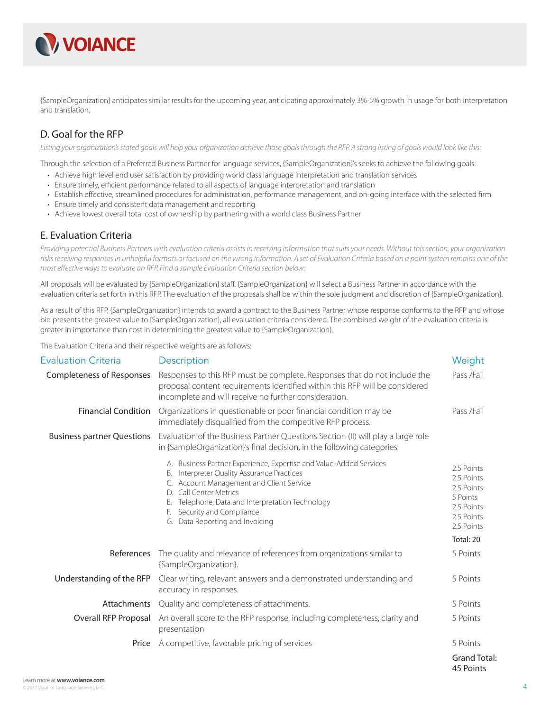

{SampleOrganization} anticipates similar results for the upcoming year, anticipating approximately 3%-5% growth in usage for both interpretation and translation.

## D. Goal for the RFP

Listing your organization's stated goals will help your organization achieve those goals through the RFP. A strong listing of goals would look like this:

Through the selection of a Preferred Business Partner for language services, {SampleOrganization}'s seeks to achieve the following goals:

- Achieve high level end user satisfaction by providing world class language interpretation and translation services
- Ensure timely, efficient performance related to all aspects of language interpretation and translation
- Establish effective, streamlined procedures for administration, performance management, and on-going interface with the selected firm
- Ensure timely and consistent data management and reporting
- Achieve lowest overall total cost of ownership by partnering with a world class Business Partner

### E. Evaluation Criteria

Providing potential Business Partners with evaluation criteria assists in receiving information that suits your needs. Without this section, your organization risks receiving responses in unhelpful formats or focused on the wrong information. A set of Evaluation Criteria based on a point system remains one of the most effective ways to evaluate an RFP. Find a sample Evaluation Criteria section below:

All proposals will be evaluated by {SampleOrganization} staff . {SampleOrganization} will select a Business Partner in accordance with the evaluation criteria set forth in this RFP. The evaluation of the proposals shall be within the sole judgment and discretion of {SampleOrganization}.

As a result of this RFP, {SampleOrganization} intends to award a contract to the Business Partner whose response conforms to the RFP and whose bid presents the greatest value to {SampleOrganization}, all evaluation criteria considered. The combined weight of the evaluation criteria is greater in importance than cost in determining the greatest value to {SampleOrganization}.

The Evaluation Criteria and their respective weights are as follows:

| <b>Evaluation Criteria</b>        | Description                                                                                                                                                                                                                                                                                           | Weight                                                                                       |
|-----------------------------------|-------------------------------------------------------------------------------------------------------------------------------------------------------------------------------------------------------------------------------------------------------------------------------------------------------|----------------------------------------------------------------------------------------------|
| <b>Completeness of Responses</b>  | Responses to this RFP must be complete. Responses that do not include the<br>proposal content requirements identified within this RFP will be considered<br>incomplete and will receive no further consideration.                                                                                     | Pass /Fail                                                                                   |
| <b>Financial Condition</b>        | Organizations in questionable or poor financial condition may be<br>immediately disqualified from the competitive RFP process.                                                                                                                                                                        | Pass /Fail                                                                                   |
| <b>Business partner Questions</b> | Evaluation of the Business Partner Questions Section (II) will play a large role<br>in {SampleOrganization}'s final decision, in the following categories:                                                                                                                                            |                                                                                              |
|                                   | A. Business Partner Experience, Expertise and Value-Added Services<br>B. Interpreter Quality Assurance Practices<br>C. Account Management and Client Service<br>D. Call Center Metrics<br>Telephone, Data and Interpretation Technology<br>Security and Compliance<br>G. Data Reporting and Invoicing | 2.5 Points<br>2.5 Points<br>2.5 Points<br>5 Points<br>2.5 Points<br>2.5 Points<br>2.5 Points |
|                                   |                                                                                                                                                                                                                                                                                                       | Total: 20                                                                                    |
| References                        | The quality and relevance of references from organizations similar to<br>{SampleOrganization}.                                                                                                                                                                                                        | 5 Points                                                                                     |
| Understanding of the RFP          | Clear writing, relevant answers and a demonstrated understanding and<br>accuracy in responses.                                                                                                                                                                                                        | 5 Points                                                                                     |
| Attachments                       | Quality and completeness of attachments.                                                                                                                                                                                                                                                              | 5 Points                                                                                     |
| Overall RFP Proposal              | An overall score to the RFP response, including completeness, clarity and<br>presentation                                                                                                                                                                                                             | 5 Points                                                                                     |
| Price                             | A competitive, favorable pricing of services                                                                                                                                                                                                                                                          | 5 Points                                                                                     |
|                                   |                                                                                                                                                                                                                                                                                                       | <b>Grand Total:</b><br>45 Points                                                             |

Learn more at **www.voiance.com** © 2011 Voiance Language Services, LLC.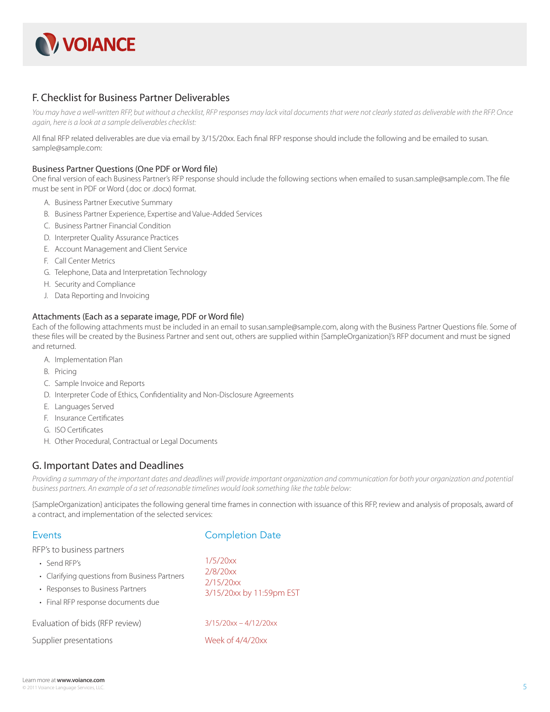

### F. Checklist for Business Partner Deliverables

You may have a well-written RFP, but without a checklist, RFP responses may lack vital documents that were not clearly stated as deliverable with the RFP. Once again, here is a look at a sample deliverables checklist:

All final RFP related deliverables are due via email by 3/15/20xx. Each final RFP response should include the following and be emailed to susan. sample@sample.com:

#### Business Partner Questions (One PDF or Word file)

One final version of each Business Partner's RFP response should include the following sections when emailed to susan.sample@sample.com. The file must be sent in PDF or Word (.doc or .docx) format.

- A. Business Partner Executive Summary
- B. Business Partner Experience, Expertise and Value-Added Services
- C. Business Partner Financial Condition
- D. Interpreter Quality Assurance Practices
- E. Account Management and Client Service
- F. Call Center Metrics
- G. Telephone, Data and Interpretation Technology
- H. Security and Compliance
- J. Data Reporting and Invoicing

#### Attachments (Each as a separate image, PDF or Word file)

Each of the following attachments must be included in an email to susan.sample@sample.com, along with the Business Partner Questions file. Some of these files will be created by the Business Partner and sent out, others are supplied within {SampleOrganization}'s RFP document and must be signed and returned.

- A. Implementation Plan
- B. Pricing
- C. Sample Invoice and Reports
- D. Interpreter Code of Ethics, Confidentiality and Non-Disclosure Agreements
- E. Languages Served
- F. Insurance Certificates
- G. ISO Certificates
- H. Other Procedural, Contractual or Legal Documents

### G. Important Dates and Deadlines

Providing a summary of the important dates and deadlines will provide important organization and communication for both your organization and potential business partners. An example of a set of reasonable timelines would look something like the table below:

{SampleOrganization} anticipates the following general time frames in connection with issuance of this RFP, review and analysis of proposals, award of a contract, and implementation of the selected services:

| Events                                                                                                                                                                | <b>Completion Date</b>                                        |  |  |
|-----------------------------------------------------------------------------------------------------------------------------------------------------------------------|---------------------------------------------------------------|--|--|
| RFP's to business partners<br>• Send RFP's<br>• Clarifying questions from Business Partners<br>• Responses to Business Partners<br>• Final RFP response documents due | 1/5/20xx<br>2/8/20xx<br>2/15/20xx<br>3/15/20xx by 11:59pm EST |  |  |
| Evaluation of bids (RFP review)<br>Supplier presentations                                                                                                             | $3/15/20xx - 4/12/20xx$<br>Week of $4/4/20xx$                 |  |  |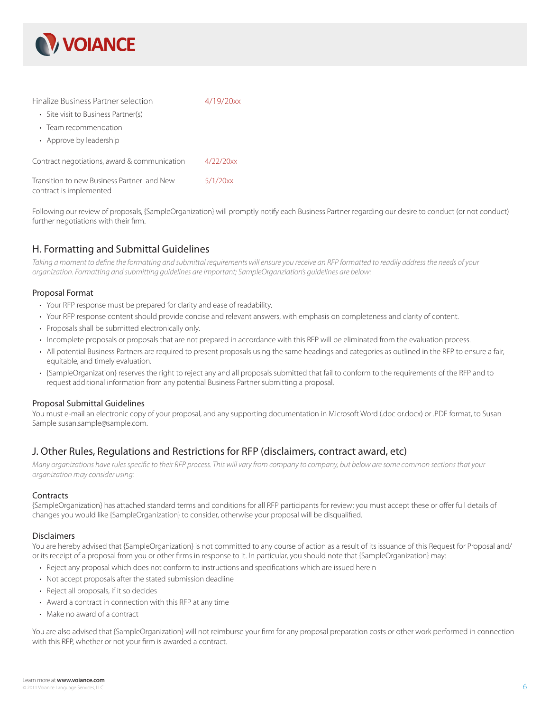

| Finalize Business Partner selection                                    | 4/19/20xx |
|------------------------------------------------------------------------|-----------|
| • Site visit to Business Partner(s)                                    |           |
| • Team recommendation                                                  |           |
| • Approve by leadership                                                |           |
| Contract negotiations, award & communication                           | 4/22/20xx |
| Transition to new Business Partner, and New<br>contract is implemented | 5/1/20xx  |

Following our review of proposals, {SampleOrganization} will promptly notify each Business Partner regarding our desire to conduct (or not conduct) further negotiations with their firm.

## H. Formatting and Submittal Guidelines

Taking a moment to define the formatting and submittal requirements will ensure you receive an RFP formatted to readily address the needs of your organization. Formatting and submitting guidelines are important; SampleOrganziation's guidelines are below:

#### Proposal Format

- Your RFP response must be prepared for clarity and ease of readability.
- Your RFP response content should provide concise and relevant answers, with emphasis on completeness and clarity of content.
- Proposals shall be submitted electronically only.
- Incomplete proposals or proposals that are not prepared in accordance with this RFP will be eliminated from the evaluation process.
- All potential Business Partners are required to present proposals using the same headings and categories as outlined in the RFP to ensure a fair, equitable, and timely evaluation.
- {SampleOrganization} reserves the right to reject any and all proposals submitted that fail to conform to the requirements of the RFP and to request additional information from any potential Business Partner submitting a proposal.

#### Proposal Submittal Guidelines

You must e-mail an electronic copy of your proposal, and any supporting documentation in Microsoft Word (.doc or.docx) or .PDF format, to Susan Sample susan.sample@sample.com.

## J. Other Rules, Regulations and Restrictions for RFP (disclaimers, contract award, etc)

Many organizations have rules specific to their RFP process. This will vary from company to company, but below are some common sections that your organization may consider using:

#### **Contracts**

{SampleOrganization} has attached standard terms and conditions for all RFP participants for review; you must accept these or offer full details of changes you would like {SampleOrganization} to consider, otherwise your proposal will be disqualified.

#### Disclaimers

You are hereby advised that {SampleOrganization} is not committed to any course of action as a result of its issuance of this Request for Proposal and/ or its receipt of a proposal from you or other firms in response to it. In particular, you should note that {SampleOrganization} may:

- Reject any proposal which does not conform to instructions and specifications which are issued herein
- Not accept proposals after the stated submission deadline
- Reject all proposals, if it so decides
- Award a contract in connection with this RFP at any time
- Make no award of a contract

You are also advised that {SampleOrganization} will not reimburse your firm for any proposal preparation costs or other work performed in connection with this RFP, whether or not your firm is awarded a contract.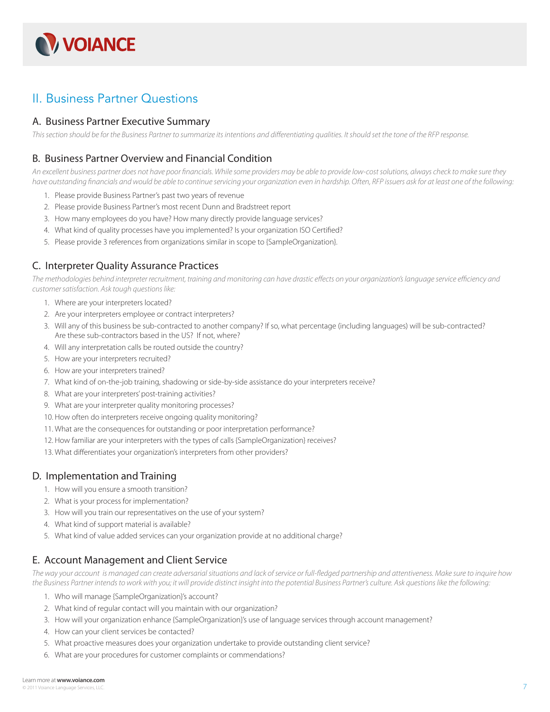

# II. Business Partner Questions

### A. Business Partner Executive Summary

This section should be for the Business Partner to summarize its intentions and differentiating qualities. It should set the tone of the RFP response.

### B. Business Partner Overview and Financial Condition

An excellent business partner does not have poor financials. While some providers may be able to provide low-cost solutions, always check to make sure they have outstanding financials and would be able to continue servicing your organization even in hardship. Often, RFP issuers ask for at least one of the following:

- 1. Please provide Business Partner's past two years of revenue
- 2. Please provide Business Partner's most recent Dunn and Bradstreet report
- 3. How many employees do you have? How many directly provide language services?
- 4. What kind of quality processes have you implemented? Is your organization ISO Certified?
- 5. Please provide 3 references from organizations similar in scope to {SampleOrganization}.

### C. Interpreter Quality Assurance Practices

The methodologies behind interpreter recruitment, training and monitoring can have drastic effects on your organization's language service efficiency and customer satisfaction. Ask tough questions like:

- 1. Where are your interpreters located?
- 2. Are your interpreters employee or contract interpreters?
- 3. Will any of this business be sub-contracted to another company? If so, what percentage (including languages) will be sub-contracted? Are these sub-contractors based in the US? If not, where?
- 4. Will any interpretation calls be routed outside the country?
- 5. How are your interpreters recruited?
- 6. How are your interpreters trained?
- 7. What kind of on-the-job training, shadowing or side-by-side assistance do your interpreters receive?
- 8. What are your interpreters' post-training activities?
- 9. What are your interpreter quality monitoring processes?
- 10. How often do interpreters receive ongoing quality monitoring?
- 11. What are the consequences for outstanding or poor interpretation performance?
- 12. How familiar are your interpreters with the types of calls {SampleOrganization} receives?
- 13. What differentiates your organization's interpreters from other providers?

### D. Implementation and Training

- 1. How will you ensure a smooth transition?
- 2. What is your process for implementation?
- 3. How will you train our representatives on the use of your system?
- 4. What kind of support material is available?
- 5. What kind of value added services can your organization provide at no additional charge?

### E. Account Management and Client Service

The way your account is managed can create adversarial situations and lack of service or full-fledged partnership and attentiveness. Make sure to inquire how the Business Partner intends to work with you; it will provide distinct insight into the potential Business Partner's culture. Ask questions like the following:

- 1. Who will manage {SampleOrganization}'s account?
- 2. What kind of regular contact will you maintain with our organization?
- 3. How will your organization enhance {SampleOrganization}'s use of language services through account management?
- 4. How can your client services be contacted?
- 5. What proactive measures does your organization undertake to provide outstanding client service?
- 6. What are your procedures for customer complaints or commendations?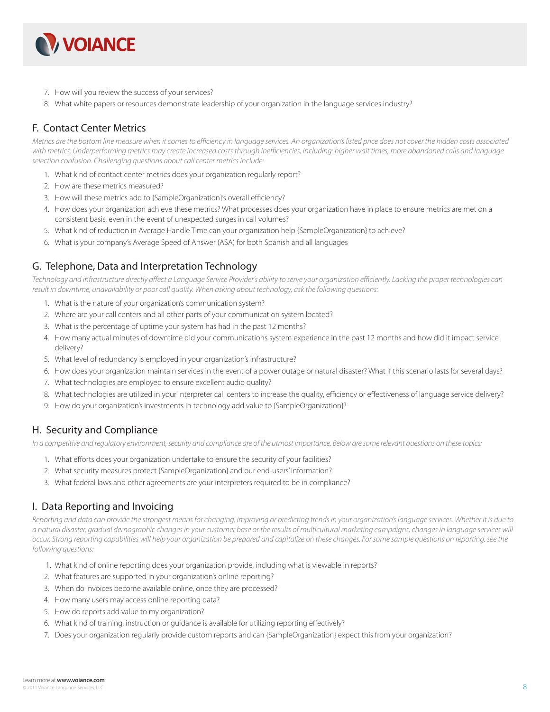

- 7. How will you review the success of your services?
- 8. What white papers or resources demonstrate leadership of your organization in the language services industry?

# F. Contact Center Metrics

Metrics are the bottom line measure when it comes to efficiency in language services. An organization's listed price does not cover the hidden costs associated with metrics. Underperforming metrics may create increased costs through inefficiencies, including: higher wait times, more abandoned calls and language selection confusion. Challenging questions about call center metrics include:

- 1. What kind of contact center metrics does your organization regularly report?
- 2. How are these metrics measured?
- 3. How will these metrics add to {SampleOrganization}'s overall efficiency?
- 4. How does your organization achieve these metrics? What processes does your organization have in place to ensure metrics are met on a consistent basis, even in the event of unexpected surges in call volumes?
- 5. What kind of reduction in Average Handle Time can your organization help {SampleOrganization} to achieve?
- 6. What is your company's Average Speed of Answer (ASA) for both Spanish and all languages

## G. Telephone, Data and Interpretation Technology

Technology and infrastructure directly affect a Language Service Provider's ability to serve your organization efficiently. Lacking the proper technologies can result in downtime, unavailability or poor call quality. When asking about technology, ask the following questions:

- 1. What is the nature of your organization's communication system?
- 2. Where are your call centers and all other parts of your communication system located?
- 3. What is the percentage of uptime your system has had in the past 12 months?
- 4. How many actual minutes of downtime did your communications system experience in the past 12 months and how did it impact service delivery?
- 5. What level of redundancy is employed in your organization's infrastructure?
- 6. How does your organization maintain services in the event of a power outage or natural disaster? What if this scenario lasts for several days?
- 7. What technologies are employed to ensure excellent audio quality?
- 8. What technologies are utilized in your interpreter call centers to increase the quality, efficiency or effectiveness of language service delivery?
- 9. How do your organization's investments in technology add value to {SampleOrganization}?

## H. Security and Compliance

In a competitive and regulatory environment, security and compliance are of the utmost importance. Below are some relevant questions on these topics:

- 1. What efforts does your organization undertake to ensure the security of your facilities?
- 2. What security measures protect {SampleOrganization} and our end-users' information?
- 3. What federal laws and other agreements are your interpreters required to be in compliance?

## I. Data Reporting and Invoicing

Reporting and data can provide the strongest means for changing, improving or predicting trends in your organization's language services. Whether it is due to a natural disaster, gradual demographic changes in your customer base or the results of multicultural marketing campaigns, changes in language services will occur. Strong reporting capabilities will help your organization be prepared and capitalize on these changes. For some sample questions on reporting, see the following questions:

- 1. What kind of online reporting does your organization provide, including what is viewable in reports?
- 2. What features are supported in your organization's online reporting?
- 3. When do invoices become available online, once they are processed?
- 4. How many users may access online reporting data?
- 5. How do reports add value to my organization?
- 6. What kind of training, instruction or guidance is available for utilizing reporting effectively?
- 7. Does your organization regularly provide custom reports and can {SampleOrganization} expect this from your organization?